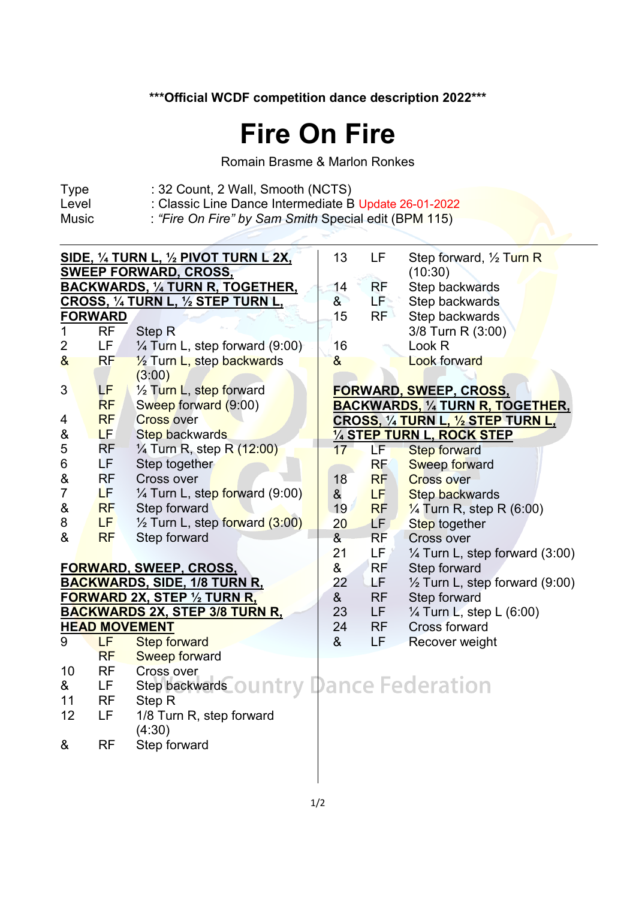## **\*\*\*Official WCDF competition dance description 2022\*\*\***

## **Fire On Fire**

Romain Brasme & Marlon Ronkes

- Type : 32 Count, 2 Wall, Smooth (NCTS)<br>Level : Classic Line Dance Intermediate B
- Level : Classic Line Dance Intermediate B Update 26-01-2022<br>Music : "Fire On Fire" by Sam Smith Special edit (BPM 115)
- 

: "Fire On Fire" by Sam Smith Special edit (BPM 115)

| SIDE, $\frac{1}{4}$ TURN L, $\frac{1}{2}$ PIVOT TURN L 2X,<br><b>SWEEP FORWARD, CROSS,</b> |                |                                             |  |                 | LF              | Step forward, 1/2 Turn R<br>(10:30)       |
|--------------------------------------------------------------------------------------------|----------------|---------------------------------------------|--|-----------------|-----------------|-------------------------------------------|
|                                                                                            |                | <b>BACKWARDS, 1/4 TURN R, TOGETHER,</b>     |  | 14              | RF              | Step backwards                            |
|                                                                                            |                | CROSS, 1/4 TURN L, 1/2 STEP TURN L,         |  | $\delta$        | <b>LPSS</b>     | Step backwards                            |
|                                                                                            | <b>FORWARD</b> |                                             |  | 15              | RF              | Step backwards                            |
| 1                                                                                          | <b>RF</b>      | Step <sub>R</sub>                           |  |                 |                 | 3/8 Turn R (3:00)                         |
| 2                                                                                          | LF.            | $\frac{1}{4}$ Turn L, step forward (9:00)   |  | 16              |                 | Look <sub>R</sub>                         |
| 8 <sub>o</sub>                                                                             | <b>RF</b>      | 1/2 Turn L, step backwards                  |  | &               |                 | <b>Look forward</b>                       |
|                                                                                            |                | (3:00)                                      |  |                 |                 |                                           |
| 3                                                                                          | <b>LF</b>      | 1/ <sub>2</sub> Turn L, step forward        |  |                 |                 | <b>FORWARD, SWEEP, CROSS,</b>             |
|                                                                                            | <b>RF</b>      | Sweep forward (9:00)                        |  |                 |                 | <b>BACKWARDS, 1/4 TURN R, TOGETHER,</b>   |
| 4                                                                                          | <b>RF</b>      | <b>Cross over</b>                           |  |                 |                 | CROSS, 1/4 TURN L, 1/2 STEP TURN L,       |
| &                                                                                          | LF.            | <b>Step backwards</b>                       |  |                 |                 | 1/4 STEP TURN L, ROCK STEP                |
| 5                                                                                          | RF             | $\frac{1}{4}$ Turn R, step R $(12:00)$      |  | $17-$           | LF <sub>1</sub> | <b>Step forward</b>                       |
| 6                                                                                          | LF.            | Step together                               |  |                 | <b>RF</b>       | <b>Sweep forward</b>                      |
| $\&$                                                                                       | <b>RF</b>      | Cross over                                  |  | 18              | <b>RF</b>       | <b>Cross over</b>                         |
| $\overline{7}$                                                                             | LF.            | 1/4 Turn L, step forward (9:00)             |  | &               | LF.             | <b>Step backwards</b>                     |
| $\&$                                                                                       | <b>RF</b>      | Step forward                                |  | 19 <sup>7</sup> | <b>RF</b>       | $\frac{1}{4}$ Turn R, step R (6:00)       |
| 8                                                                                          | LF.            | $\frac{1}{2}$ Turn L, step forward $(3:00)$ |  | 20              | LF.             | Step together                             |
| &                                                                                          | <b>RF</b>      | Step forward                                |  | 8 <sub>1</sub>  | <b>RF</b>       | <b>Cross over</b>                         |
|                                                                                            |                |                                             |  | 21<br>&         | LF /            | $\frac{1}{4}$ Turn L, step forward (3:00) |
| <b>FORWARD, SWEEP, CROSS,</b>                                                              |                |                                             |  |                 | <b>RF</b>       | Step forward                              |
| <b>BACKWARDS, SIDE, 1/8 TURN R,</b>                                                        |                |                                             |  |                 | LF.             | $\frac{1}{2}$ Turn L, step forward (9:00) |
| <b>FORWARD 2X, STEP 1/2 TURN R.</b><br>&                                                   |                |                                             |  |                 | <b>RF</b>       | Step forward                              |
|                                                                                            |                | <b>BACKWARDS 2X, STEP 3/8 TURN R,</b>       |  | 23              | <b>LF</b>       | $\frac{1}{4}$ Turn L, step L (6:00)       |
|                                                                                            |                | <b>HEAD MOVEMENT</b>                        |  | 24              | <b>RF</b>       | <b>Cross forward</b>                      |
| 9                                                                                          | LF             | <b>Step forward</b>                         |  | &               | LF              | Recover weight                            |
|                                                                                            | <b>RF</b>      | <b>Sweep forward</b>                        |  |                 |                 |                                           |
| 10                                                                                         | <b>RF</b>      | Cross over                                  |  |                 |                 |                                           |
| &                                                                                          | LF             | Step backwards ountry Dance Federation      |  |                 |                 |                                           |
| 11                                                                                         | <b>RF</b>      | Step R                                      |  |                 |                 |                                           |
| 12                                                                                         | LF             | 1/8 Turn R, step forward                    |  |                 |                 |                                           |
|                                                                                            |                | (4:30)                                      |  |                 |                 |                                           |
| &                                                                                          | <b>RF</b>      | Step forward                                |  |                 |                 |                                           |
|                                                                                            |                |                                             |  |                 |                 |                                           |
|                                                                                            |                |                                             |  |                 |                 |                                           |